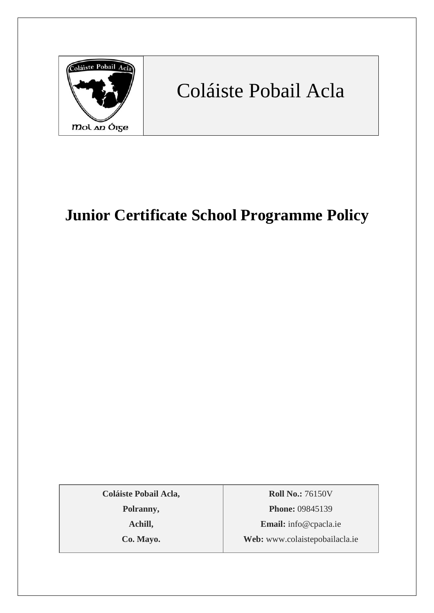

# Coláiste Pobail Acla

## **Junior Certificate School Programme Policy**

**Coláiste Pobail Acla,**

**Polranny,**

**Achill,**

**Co. Mayo.**

**Roll No.:** 76150V **Phone:** 09845139 **Email:** [info@cpacla.ie](mailto:info@cpacla.ie) **Web:** www.colaistepobailacla.ie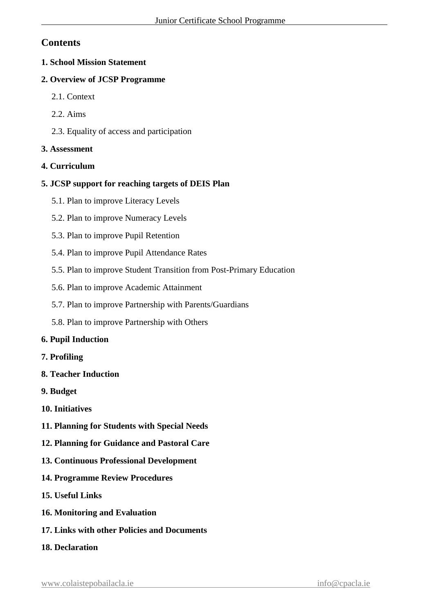## **Contents**

#### **1. School Mission Statement**

#### **2. Overview of JCSP Programme**

- 2.1. Context
- 2.2. Aims
- 2.3. Equality of access and participation

#### **3. Assessment**

#### **4. Curriculum**

#### **5. JCSP support for reaching targets of DEIS Plan**

- 5.1. Plan to improve Literacy Levels
- 5.2. Plan to improve Numeracy Levels
- 5.3. Plan to improve Pupil Retention
- 5.4. Plan to improve Pupil Attendance Rates
- 5.5. Plan to improve Student Transition from Post-Primary Education
- 5.6. Plan to improve Academic Attainment
- 5.7. Plan to improve Partnership with Parents/Guardians
- 5.8. Plan to improve Partnership with Others

#### **6. Pupil Induction**

#### **7. Profiling**

- **8. Teacher Induction**
- **9. Budget**
- **10. Initiatives**
- **11. Planning for Students with Special Needs**
- **12. Planning for Guidance and Pastoral Care**
- **13. Continuous Professional Development**
- **14. Programme Review Procedures**
- **15. Useful Links**
- **16. Monitoring and Evaluation**
- **17. Links with other Policies and Documents**
- **18. Declaration**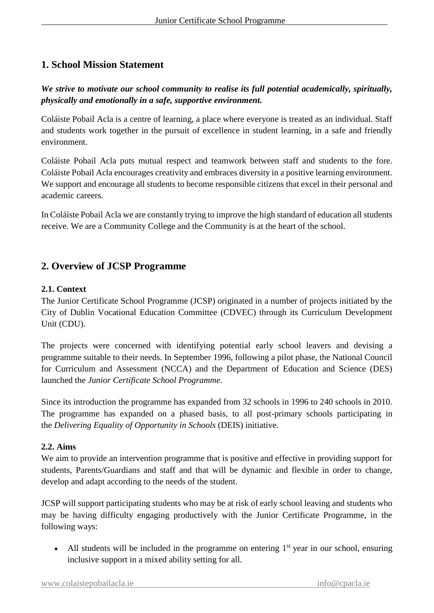## **1. School Mission Statement**

## *We strive to motivate our school community to realise its full potential academically, spiritually, physically and emotionally in a safe, supportive environment.*

Coláiste Pobail Acla is a centre of learning, a place where everyone is treated as an individual. Staff and students work together in the pursuit of excellence in student learning, in a safe and friendly environment.

Coláiste Pobail Acla puts mutual respect and teamwork between staff and students to the fore. Coláiste Pobail Acla encourages creativity and embraces diversity in a positive learning environment. We support and encourage all students to become responsible citizens that excel in their personal and academic careers.

In Coláiste Pobail Acla we are constantly trying to improve the high standard of education all students receive. We are a Community College and the Community is at the heart of the school.

## **2. Overview of JCSP Programme**

#### **2.1. Context**

The Junior Certificate School Programme (JCSP) originated in a number of projects initiated by the City of Dublin Vocational Education Committee (CDVEC) through its Curriculum Development Unit (CDU).

The projects were concerned with identifying potential early school leavers and devising a programme suitable to their needs. In September 1996, following a pilot phase, the National Council for Curriculum and Assessment (NCCA) and the Department of Education and Science (DES) launched the *Junior Certificate School Programme*.

Since its introduction the programme has expanded from 32 schools in 1996 to 240 schools in 2010. The programme has expanded on a phased basis, to all post-primary schools participating in the *Delivering Equality of Opportunity in Schools* (DEIS) initiative.

#### **2.2. Aims**

We aim to provide an intervention programme that is positive and effective in providing support for students, Parents/Guardians and staff and that will be dynamic and flexible in order to change, develop and adapt according to the needs of the student.

JCSP will support participating students who may be at risk of early school leaving and students who may be having difficulty engaging productively with the Junior Certificate Programme, in the following ways:

• All students will be included in the programme on entering  $1<sup>st</sup>$  year in our school, ensuring inclusive support in a mixed ability setting for all.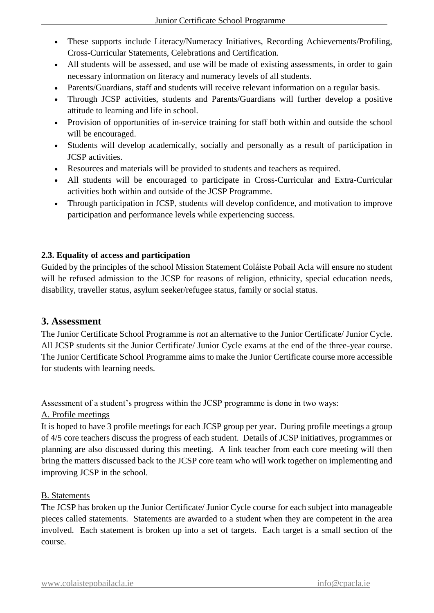- These supports include Literacy/Numeracy Initiatives, Recording Achievements/Profiling, Cross-Curricular Statements, Celebrations and Certification.
- All students will be assessed, and use will be made of existing assessments, in order to gain necessary information on literacy and numeracy levels of all students.
- Parents/Guardians, staff and students will receive relevant information on a regular basis.
- Through JCSP activities, students and Parents/Guardians will further develop a positive attitude to learning and life in school.
- Provision of opportunities of in-service training for staff both within and outside the school will be encouraged.
- Students will develop academically, socially and personally as a result of participation in JCSP activities.
- Resources and materials will be provided to students and teachers as required.
- All students will be encouraged to participate in Cross-Curricular and Extra-Curricular activities both within and outside of the JCSP Programme.
- Through participation in JCSP, students will develop confidence, and motivation to improve participation and performance levels while experiencing success.

#### **2.3. Equality of access and participation**

Guided by the principles of the school Mission Statement Coláiste Pobail Acla will ensure no student will be refused admission to the JCSP for reasons of religion, ethnicity, special education needs, disability, traveller status, asylum seeker/refugee status, family or social status.

#### **3. Assessment**

The Junior Certificate School Programme is *not* an alternative to the Junior Certificate/ Junior Cycle. All JCSP students sit the Junior Certificate/ Junior Cycle exams at the end of the three-year course. The Junior Certificate School Programme aims to make the Junior Certificate course more accessible for students with learning needs.

Assessment of a student's progress within the JCSP programme is done in two ways:

#### A. Profile meetings

It is hoped to have 3 profile meetings for each JCSP group per year. During profile meetings a group of 4/5 core teachers discuss the progress of each student. Details of JCSP initiatives, programmes or planning are also discussed during this meeting. A link teacher from each core meeting will then bring the matters discussed back to the JCSP core team who will work together on implementing and improving JCSP in the school.

#### B. Statements

The JCSP has broken up the Junior Certificate/ Junior Cycle course for each subject into manageable pieces called statements. Statements are awarded to a student when they are competent in the area involved. Each statement is broken up into a set of targets. Each target is a small section of the course.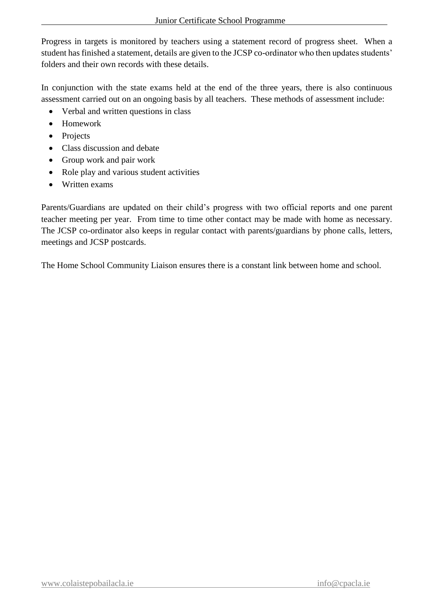Progress in targets is monitored by teachers using a statement record of progress sheet. When a student has finished a statement, details are given to the JCSP co-ordinator who then updates students' folders and their own records with these details.

In conjunction with the state exams held at the end of the three years, there is also continuous assessment carried out on an ongoing basis by all teachers. These methods of assessment include:

- Verbal and written questions in class
- Homework
- Projects
- Class discussion and debate
- Group work and pair work
- Role play and various student activities
- Written exams

Parents/Guardians are updated on their child's progress with two official reports and one parent teacher meeting per year. From time to time other contact may be made with home as necessary. The JCSP co-ordinator also keeps in regular contact with parents/guardians by phone calls, letters, meetings and JCSP postcards.

The Home School Community Liaison ensures there is a constant link between home and school.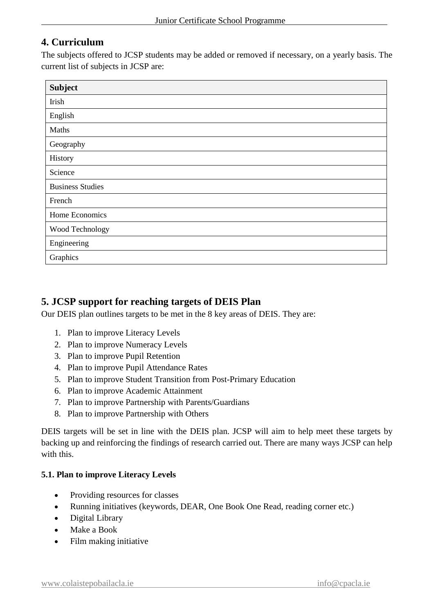## **4. Curriculum**

The subjects offered to JCSP students may be added or removed if necessary, on a yearly basis. The current list of subjects in JCSP are:

| <b>Subject</b>          |  |  |
|-------------------------|--|--|
| Irish                   |  |  |
| English                 |  |  |
| Maths                   |  |  |
| Geography               |  |  |
| History                 |  |  |
| Science                 |  |  |
| <b>Business Studies</b> |  |  |
| French                  |  |  |
| Home Economics          |  |  |
| Wood Technology         |  |  |
| Engineering             |  |  |
| Graphics                |  |  |

## **5. JCSP support for reaching targets of DEIS Plan**

Our DEIS plan outlines targets to be met in the 8 key areas of DEIS. They are:

- 1. Plan to improve Literacy Levels
- 2. Plan to improve Numeracy Levels
- 3. Plan to improve Pupil Retention
- 4. Plan to improve Pupil Attendance Rates
- 5. Plan to improve Student Transition from Post-Primary Education
- 6. Plan to improve Academic Attainment
- 7. Plan to improve Partnership with Parents/Guardians
- 8. Plan to improve Partnership with Others

DEIS targets will be set in line with the DEIS plan. JCSP will aim to help meet these targets by backing up and reinforcing the findings of research carried out. There are many ways JCSP can help with this.

#### **5.1. Plan to improve Literacy Levels**

- Providing resources for classes
- Running initiatives (keywords, DEAR, One Book One Read, reading corner etc.)
- Digital Library
- Make a Book
- Film making initiative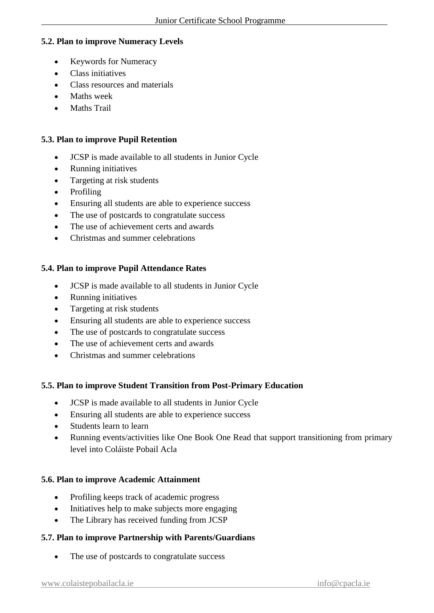#### **5.2. Plan to improve Numeracy Levels**

- Keywords for Numeracy
- Class initiatives
- Class resources and materials
- Maths week
- Maths Trail

#### **5.3. Plan to improve Pupil Retention**

- JCSP is made available to all students in Junior Cycle
- Running initiatives
- Targeting at risk students
- Profiling
- Ensuring all students are able to experience success
- The use of postcards to congratulate success
- The use of achievement certs and awards
- Christmas and summer celebrations

#### **5.4. Plan to improve Pupil Attendance Rates**

- JCSP is made available to all students in Junior Cycle
- Running initiatives
- Targeting at risk students
- Ensuring all students are able to experience success
- The use of postcards to congratulate success
- The use of achievement certs and awards
- Christmas and summer celebrations

#### **5.5. Plan to improve Student Transition from Post-Primary Education**

- JCSP is made available to all students in Junior Cycle
- Ensuring all students are able to experience success
- Students learn to learn
- Running events/activities like One Book One Read that support transitioning from primary level into Coláiste Pobail Acla

#### **5.6. Plan to improve Academic Attainment**

- Profiling keeps track of academic progress
- Initiatives help to make subjects more engaging
- The Library has received funding from JCSP

#### **5.7. Plan to improve Partnership with Parents/Guardians**

• The use of postcards to congratulate success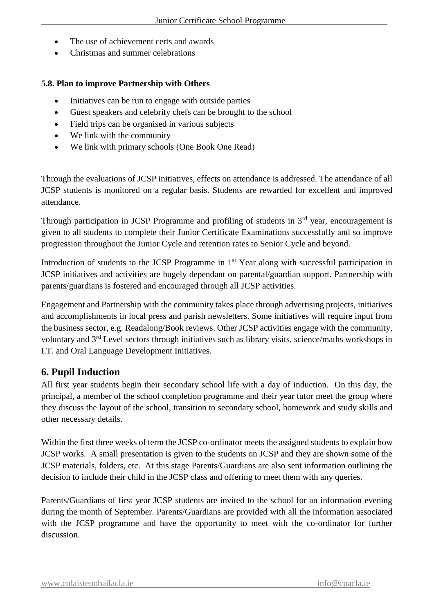- The use of achievement certs and awards
- Christmas and summer celebrations

#### **5.8. Plan to improve Partnership with Others**

- Initiatives can be run to engage with outside parties
- Guest speakers and celebrity chefs can be brought to the school
- Field trips can be organised in various subjects
- We link with the community
- We link with primary schools (One Book One Read)

Through the evaluations of JCSP initiatives, effects on attendance is addressed. The attendance of all JCSP students is monitored on a regular basis. Students are rewarded for excellent and improved attendance.

Through participation in JCSP Programme and profiling of students in  $3<sup>rd</sup>$  year, encouragement is given to all students to complete their Junior Certificate Examinations successfully and so improve progression throughout the Junior Cycle and retention rates to Senior Cycle and beyond.

Introduction of students to the JCSP Programme in 1<sup>st</sup> Year along with successful participation in JCSP initiatives and activities are hugely dependant on parental/guardian support. Partnership with parents/guardians is fostered and encouraged through all JCSP activities.

Engagement and Partnership with the community takes place through advertising projects, initiatives and accomplishments in local press and parish newsletters. Some initiatives will require input from the business sector, e.g. Readalong/Book reviews. Other JCSP activities engage with the community, voluntary and 3rd Level sectors through initiatives such as library visits, science/maths workshops in I.T. and Oral Language Development Initiatives.

## **6. Pupil Induction**

All first year students begin their secondary school life with a day of induction. On this day, the principal, a member of the school completion programme and their year tutor meet the group where they discuss the layout of the school, transition to secondary school, homework and study skills and other necessary details.

Within the first three weeks of term the JCSP co-ordinator meets the assigned students to explain how JCSP works. A small presentation is given to the students on JCSP and they are shown some of the JCSP materials, folders, etc. At this stage Parents/Guardians are also sent information outlining the decision to include their child in the JCSP class and offering to meet them with any queries.

Parents/Guardians of first year JCSP students are invited to the school for an information evening during the month of September. Parents/Guardians are provided with all the information associated with the JCSP programme and have the opportunity to meet with the co-ordinator for further discussion.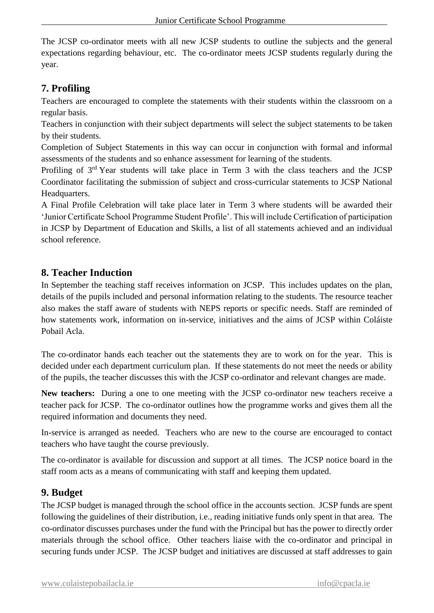The JCSP co-ordinator meets with all new JCSP students to outline the subjects and the general expectations regarding behaviour, etc. The co-ordinator meets JCSP students regularly during the year.

## **7. Profiling**

Teachers are encouraged to complete the statements with their students within the classroom on a regular basis.

Teachers in conjunction with their subject departments will select the subject statements to be taken by their students.

Completion of Subject Statements in this way can occur in conjunction with formal and informal assessments of the students and so enhance assessment for learning of the students.

Profiling of 3rd Year students will take place in Term 3 with the class teachers and the JCSP Coordinator facilitating the submission of subject and cross-curricular statements to JCSP National Headquarters.

A Final Profile Celebration will take place later in Term 3 where students will be awarded their 'Junior Certificate School Programme Student Profile'. This will include Certification of participation in JCSP by Department of Education and Skills, a list of all statements achieved and an individual school reference.

## **8. Teacher Induction**

In September the teaching staff receives information on JCSP. This includes updates on the plan, details of the pupils included and personal information relating to the students. The resource teacher also makes the staff aware of students with NEPS reports or specific needs. Staff are reminded of how statements work, information on in-service, initiatives and the aims of JCSP within Coláiste Pobail Acla.

The co-ordinator hands each teacher out the statements they are to work on for the year. This is decided under each department curriculum plan. If these statements do not meet the needs or ability of the pupils, the teacher discusses this with the JCSP co-ordinator and relevant changes are made.

**New teachers:** During a one to one meeting with the JCSP co-ordinator new teachers receive a teacher pack for JCSP. The co-ordinator outlines how the programme works and gives them all the required information and documents they need.

In-service is arranged as needed. Teachers who are new to the course are encouraged to contact teachers who have taught the course previously.

The co-ordinator is available for discussion and support at all times. The JCSP notice board in the staff room acts as a means of communicating with staff and keeping them updated.

## **9. Budget**

The JCSP budget is managed through the school office in the accounts section. JCSP funds are spent following the guidelines of their distribution, i.e., reading initiative funds only spent in that area. The co-ordinator discusses purchases under the fund with the Principal but has the power to directly order materials through the school office. Other teachers liaise with the co-ordinator and principal in securing funds under JCSP. The JCSP budget and initiatives are discussed at staff addresses to gain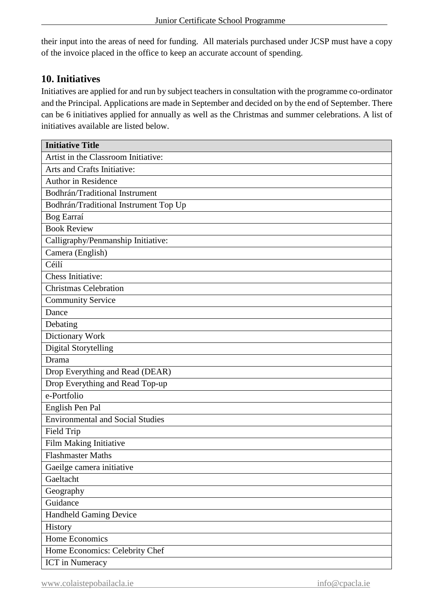their input into the areas of need for funding. All materials purchased under JCSP must have a copy of the invoice placed in the office to keep an accurate account of spending.

## **10. Initiatives**

Initiatives are applied for and run by subject teachers in consultation with the programme co-ordinator and the Principal. Applications are made in September and decided on by the end of September. There can be 6 initiatives applied for annually as well as the Christmas and summer celebrations. A list of initiatives available are listed below.

| <b>Initiative Title</b>                 |  |  |  |  |
|-----------------------------------------|--|--|--|--|
| Artist in the Classroom Initiative:     |  |  |  |  |
| Arts and Crafts Initiative:             |  |  |  |  |
| <b>Author in Residence</b>              |  |  |  |  |
| Bodhrán/Traditional Instrument          |  |  |  |  |
| Bodhrán/Traditional Instrument Top Up   |  |  |  |  |
| Bog Earraí                              |  |  |  |  |
| <b>Book Review</b>                      |  |  |  |  |
| Calligraphy/Penmanship Initiative:      |  |  |  |  |
| Camera (English)                        |  |  |  |  |
| Céilí                                   |  |  |  |  |
| Chess Initiative:                       |  |  |  |  |
| <b>Christmas Celebration</b>            |  |  |  |  |
| <b>Community Service</b>                |  |  |  |  |
| Dance                                   |  |  |  |  |
| Debating                                |  |  |  |  |
| Dictionary Work                         |  |  |  |  |
| <b>Digital Storytelling</b>             |  |  |  |  |
| Drama                                   |  |  |  |  |
| Drop Everything and Read (DEAR)         |  |  |  |  |
| Drop Everything and Read Top-up         |  |  |  |  |
| e-Portfolio                             |  |  |  |  |
| English Pen Pal                         |  |  |  |  |
| <b>Environmental and Social Studies</b> |  |  |  |  |
| Field Trip                              |  |  |  |  |
| Film Making Initiative                  |  |  |  |  |
| <b>Flashmaster Maths</b>                |  |  |  |  |
| Gaeilge camera initiative               |  |  |  |  |
| Gaeltacht                               |  |  |  |  |
| Geography                               |  |  |  |  |
| Guidance                                |  |  |  |  |
| <b>Handheld Gaming Device</b>           |  |  |  |  |
| History                                 |  |  |  |  |
| Home Economics                          |  |  |  |  |
| Home Economics: Celebrity Chef          |  |  |  |  |
| <b>ICT</b> in Numeracy                  |  |  |  |  |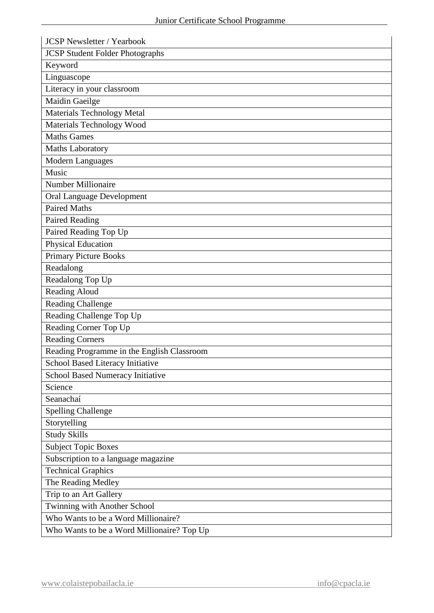| <b>JCSP Newsletter / Yearbook</b>          |  |  |  |  |
|--------------------------------------------|--|--|--|--|
| <b>JCSP Student Folder Photographs</b>     |  |  |  |  |
| Keyword                                    |  |  |  |  |
| Linguascope                                |  |  |  |  |
| Literacy in your classroom                 |  |  |  |  |
| Maidin Gaeilge                             |  |  |  |  |
| <b>Materials Technology Metal</b>          |  |  |  |  |
| Materials Technology Wood                  |  |  |  |  |
| <b>Maths Games</b>                         |  |  |  |  |
| Maths Laboratory                           |  |  |  |  |
| Modern Languages                           |  |  |  |  |
| Music                                      |  |  |  |  |
| <b>Number Millionaire</b>                  |  |  |  |  |
| <b>Oral Language Development</b>           |  |  |  |  |
| <b>Paired Maths</b>                        |  |  |  |  |
| <b>Paired Reading</b>                      |  |  |  |  |
| Paired Reading Top Up                      |  |  |  |  |
| <b>Physical Education</b>                  |  |  |  |  |
| <b>Primary Picture Books</b>               |  |  |  |  |
| Readalong                                  |  |  |  |  |
| Readalong Top Up                           |  |  |  |  |
| Reading Aloud                              |  |  |  |  |
| <b>Reading Challenge</b>                   |  |  |  |  |
| Reading Challenge Top Up                   |  |  |  |  |
| Reading Corner Top Up                      |  |  |  |  |
| <b>Reading Corners</b>                     |  |  |  |  |
| Reading Programme in the English Classroom |  |  |  |  |
| School Based Literacy Initiative           |  |  |  |  |
| School Based Numeracy Initiative           |  |  |  |  |
| Science                                    |  |  |  |  |
| Seanachaí                                  |  |  |  |  |
| <b>Spelling Challenge</b>                  |  |  |  |  |
| Storytelling                               |  |  |  |  |
| <b>Study Skills</b>                        |  |  |  |  |
| <b>Subject Topic Boxes</b>                 |  |  |  |  |
| Subscription to a language magazine        |  |  |  |  |
| <b>Technical Graphics</b>                  |  |  |  |  |
| The Reading Medley                         |  |  |  |  |
| Trip to an Art Gallery                     |  |  |  |  |
| Twinning with Another School               |  |  |  |  |
| Who Wants to be a Word Millionaire?        |  |  |  |  |
| Who Wants to be a Word Millionaire? Top Up |  |  |  |  |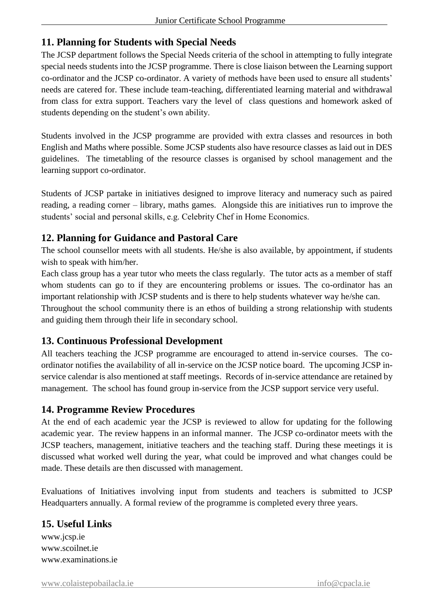## **11. Planning for Students with Special Needs**

The JCSP department follows the Special Needs criteria of the school in attempting to fully integrate special needs students into the JCSP programme. There is close liaison between the Learning support co-ordinator and the JCSP co-ordinator. A variety of methods have been used to ensure all students' needs are catered for. These include team-teaching, differentiated learning material and withdrawal from class for extra support. Teachers vary the level of class questions and homework asked of students depending on the student's own ability.

Students involved in the JCSP programme are provided with extra classes and resources in both English and Maths where possible. Some JCSP students also have resource classes as laid out in DES guidelines. The timetabling of the resource classes is organised by school management and the learning support co-ordinator.

Students of JCSP partake in initiatives designed to improve literacy and numeracy such as paired reading, a reading corner – library, maths games. Alongside this are initiatives run to improve the students' social and personal skills, e.g. Celebrity Chef in Home Economics.

## **12. Planning for Guidance and Pastoral Care**

The school counsellor meets with all students. He/she is also available, by appointment, if students wish to speak with him/her.

Each class group has a year tutor who meets the class regularly. The tutor acts as a member of staff whom students can go to if they are encountering problems or issues. The co-ordinator has an important relationship with JCSP students and is there to help students whatever way he/she can. Throughout the school community there is an ethos of building a strong relationship with students

and guiding them through their life in secondary school.

## **13. Continuous Professional Development**

All teachers teaching the JCSP programme are encouraged to attend in-service courses. The coordinator notifies the availability of all in-service on the JCSP notice board. The upcoming JCSP inservice calendar is also mentioned at staff meetings. Records of in-service attendance are retained by management. The school has found group in-service from the JCSP support service very useful.

## **14. Programme Review Procedures**

At the end of each academic year the JCSP is reviewed to allow for updating for the following academic year. The review happens in an informal manner. The JCSP co-ordinator meets with the JCSP teachers, management, initiative teachers and the teaching staff. During these meetings it is discussed what worked well during the year, what could be improved and what changes could be made. These details are then discussed with management.

Evaluations of Initiatives involving input from students and teachers is submitted to JCSP Headquarters annually. A formal review of the programme is completed every three years.

#### **15. Useful Links**

www.jcsp.ie www.scoilnet.ie www.examinations.ie